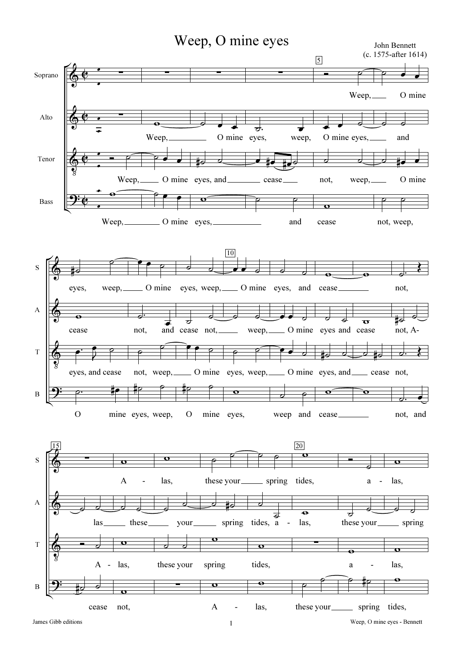